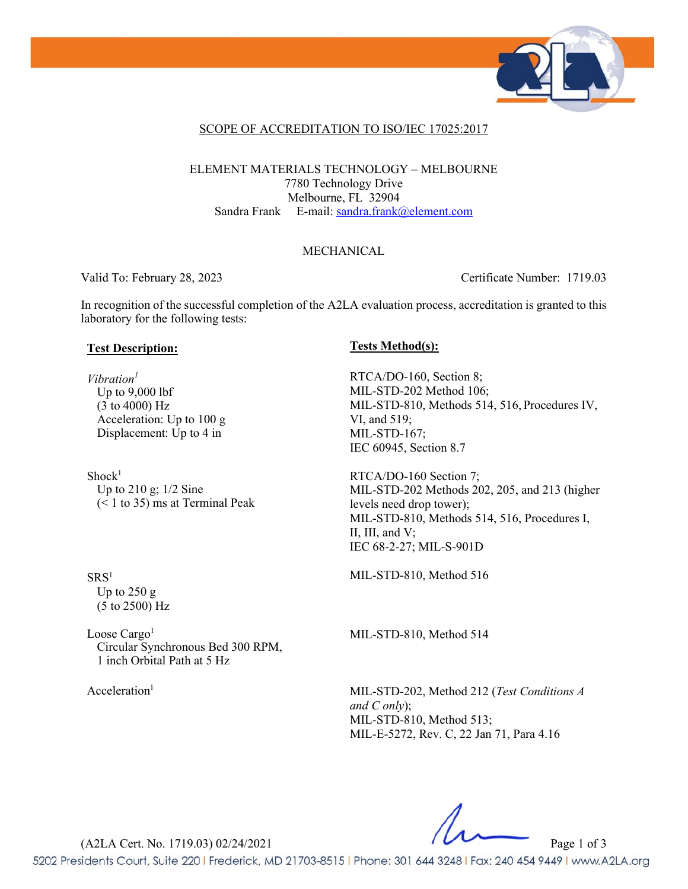

### SCOPE OF ACCREDITATION TO ISO/IEC 17025:2017

ELEMENT MATERIALS TECHNOLOGY – MELBOURNE 7780 Technology Drive Melbourne, FL 32904 Sandra Frank E-mail: [sandra.frank@element.com](mailto:sandra.frank@element.com)

### MECHANICAL

Valid To: February 28, 2023 Certificate Number: 1719.03

In recognition of the successful completion of the A2LA evaluation process, accreditation is granted to this laboratory for the following tests:

## **Test Description: Tests Method(s):**

*Vibration1* Up to 9,000 lbf (3 to 4000) Hz Acceleration: Up to 100 g Displacement: Up to 4 in

 $Shock<sup>1</sup>$ Up to 210 g; 1/2 Sine  $(< 1$  to 35) ms at Terminal Peak

RTCA/DO-160, Section 8; MIL-STD-202 Method 106; MIL-STD-810, Methods 514, 516, Procedures IV, VI, and 519; MIL-STD-167; IEC 60945, Section 8.7

RTCA/DO-160 Section 7; MIL-STD-202 Methods 202, 205, and 213 (higher levels need drop tower); MIL-STD-810, Methods 514, 516, Procedures I, II, III, and V; IEC 68-2-27; MIL-S-901D

MIL-STD-810, Method 516

MIL-STD-810, Method 514

Acceleration<sup>1</sup> MIL-STD-202, Method 212 (*Test Conditions A and C only*); MIL-STD-810, Method 513; MIL-E-5272, Rev. C, 22 Jan 71, Para 4.16

(A2LA Cert. No. 1719.03) 02/24/2021 Page 1 of 3

5202 Presidents Court, Suite 220 | Frederick, MD 21703-8515 | Phone: 301 644 3248 | Fax: 240 454 9449 | www.A2LA.org

 $SRS<sup>1</sup>$ Up to 250 g (5 to 2500) Hz

Loose Cargo<sup>1</sup> Circular Synchronous Bed 300 RPM, 1 inch Orbital Path at 5 Hz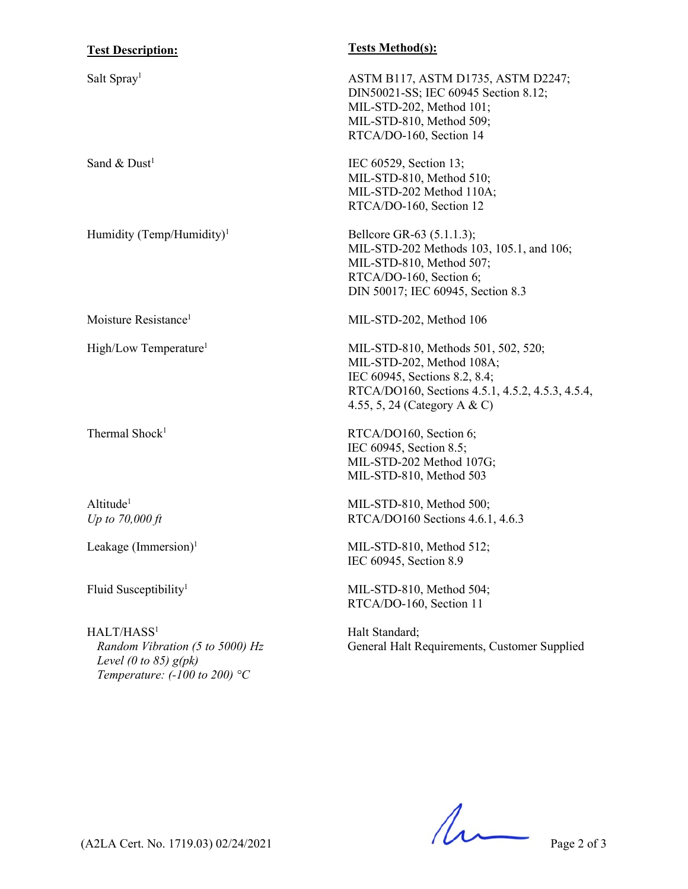| <b>Test Description:</b>                                                             | <b>Tests Method(s):</b>                                                                                                                                                               |
|--------------------------------------------------------------------------------------|---------------------------------------------------------------------------------------------------------------------------------------------------------------------------------------|
| Salt Spray <sup>1</sup>                                                              | ASTM B117, ASTM D1735, ASTM D2247;<br>DIN50021-SS; IEC 60945 Section 8.12;<br>MIL-STD-202, Method 101;<br>MIL-STD-810, Method 509;<br>RTCA/DO-160, Section 14                         |
| Sand & $Dust1$                                                                       | IEC 60529, Section 13;<br>MIL-STD-810, Method 510;<br>MIL-STD-202 Method 110A;<br>RTCA/DO-160, Section 12                                                                             |
| Humidity (Temp/Humidity) <sup>1</sup>                                                | Bellcore GR-63 (5.1.1.3);<br>MIL-STD-202 Methods 103, 105.1, and 106;<br>MIL-STD-810, Method 507;<br>RTCA/DO-160, Section 6;<br>DIN 50017; IEC 60945, Section 8.3                     |
| Moisture Resistance <sup>1</sup>                                                     | MIL-STD-202, Method 106                                                                                                                                                               |
| High/Low Temperature <sup>1</sup>                                                    | MIL-STD-810, Methods 501, 502, 520;<br>MIL-STD-202, Method 108A;<br>IEC 60945, Sections 8.2, 8.4;<br>RTCA/DO160, Sections 4.5.1, 4.5.2, 4.5.3, 4.5.4,<br>4.55, 5, 24 (Category A & C) |
| Thermal Shock <sup>1</sup>                                                           | RTCA/DO160, Section 6;<br>IEC 60945, Section 8.5;<br>MIL-STD-202 Method 107G;<br>MIL-STD-810, Method 503                                                                              |
| Altitude <sup>1</sup><br>Up to $70,000 \, \text{ft}$                                 | MIL-STD-810, Method 500;<br>RTCA/DO160 Sections 4.6.1, 4.6.3                                                                                                                          |
| Leakage $(Immersion)^1$                                                              | MIL-STD-810, Method 512;<br>IEC 60945, Section 8.9                                                                                                                                    |
| Fluid Susceptibility <sup>1</sup>                                                    | MIL-STD-810, Method 504;<br>RTCA/DO-160, Section 11                                                                                                                                   |
| HALT/HASS <sup>1</sup><br>Random Vibration (5 to 5000) Hz<br>Level (0 to 85) $g(pk)$ | Halt Standard;<br>General Halt Requirements, Customer Supplied                                                                                                                        |

 $(A2LA$  Cert. No. 1719.03) 02/24/2021 Page 2 of 3

*Temperature: (-100 to 200) °C*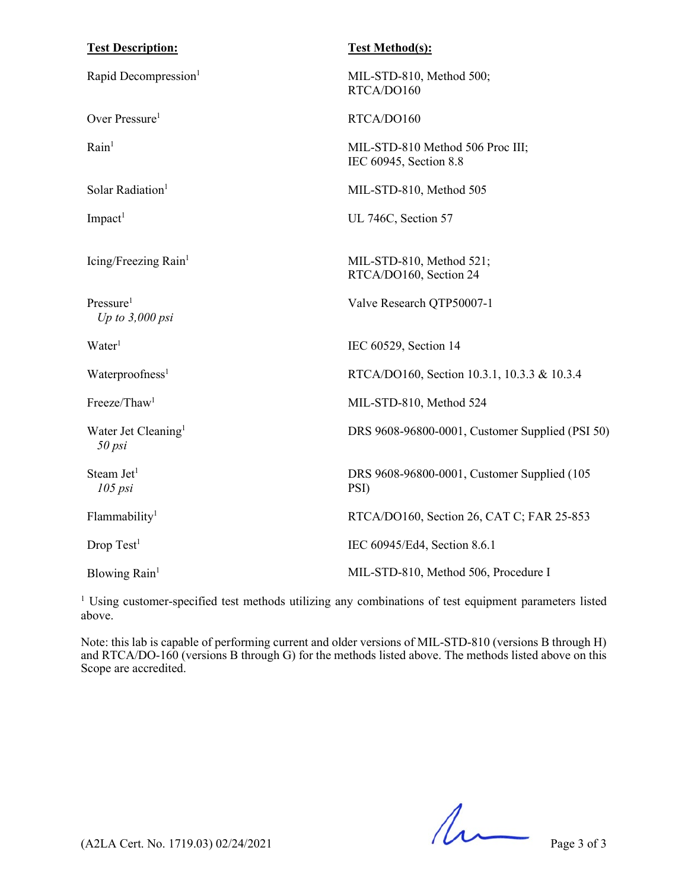| <b>Test Description:</b>                   | <b>Test Method(s):</b>                                     |
|--------------------------------------------|------------------------------------------------------------|
| Rapid Decompression <sup>1</sup>           | MIL-STD-810, Method 500;<br>RTCA/DO160                     |
| Over Pressure <sup>1</sup>                 | RTCA/DO160                                                 |
| Rain <sup>1</sup>                          | MIL-STD-810 Method 506 Proc III;<br>IEC 60945, Section 8.8 |
| Solar Radiation <sup>1</sup>               | MIL-STD-810, Method 505                                    |
| $Im$ pact <sup>1</sup>                     | UL 746C, Section 57                                        |
| Icing/Freezing Rain <sup>1</sup>           | MIL-STD-810, Method 521;<br>RTCA/DO160, Section 24         |
| Pressure <sup>1</sup><br>Up to $3,000$ psi | Valve Research QTP50007-1                                  |
| Water <sup>1</sup>                         | IEC 60529, Section 14                                      |
| Waterproofness <sup>1</sup>                | RTCA/DO160, Section 10.3.1, 10.3.3 & 10.3.4                |
| Freeze/Thaw <sup>1</sup>                   | MIL-STD-810, Method 524                                    |
| Water Jet Cleaning <sup>1</sup><br>50 psi  | DRS 9608-96800-0001, Customer Supplied (PSI 50)            |
| Steam Jet <sup>1</sup><br>105 psi          | DRS 9608-96800-0001, Customer Supplied (105<br>PSI)        |
| Flammability <sup>1</sup>                  | RTCA/DO160, Section 26, CAT C; FAR 25-853                  |
| Drop Test <sup>1</sup>                     | IEC 60945/Ed4, Section 8.6.1                               |
| Blowing Rain <sup>1</sup>                  | MIL-STD-810, Method 506, Procedure I                       |
|                                            |                                                            |

<sup>1</sup> Using customer-specified test methods utilizing any combinations of test equipment parameters listed above.

Note: this lab is capable of performing current and older versions of MIL-STD-810 (versions B through H) and RTCA/DO-160 (versions B through G) for the methods listed above. The methods listed above on this Scope are accredited.

 $(122A \text{ Cert. No. } 1719.03) 02/24/2021$